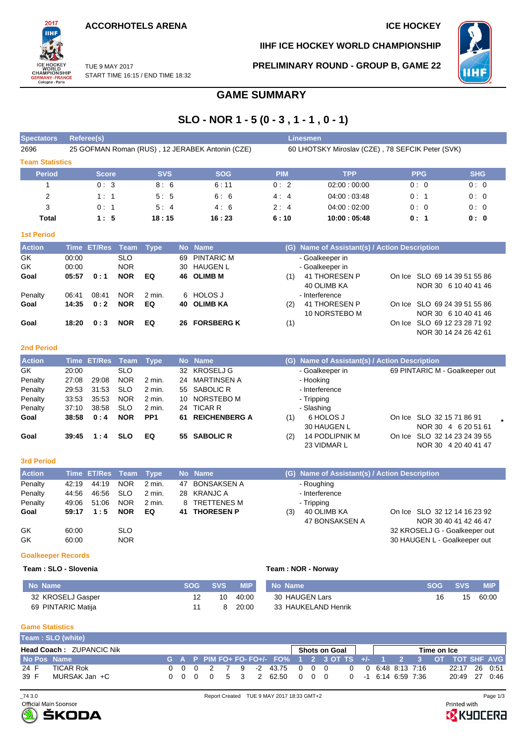**ACCORHOTELS ARENA ICE HOCKEY** 



**IIHF ICE HOCKEY WORLD CHAMPIONSHIP**

**PRELIMINARY ROUND - GROUP B, GAME 22**

10 NORSTEBO M



On Ice SLO 69 24 39 51 55 86 NOR 30 6 10 40 41 46

NOR 30 14 24 26 42 61

TUE 9 MAY 2017 START TIME 16:15 / END TIME 18:32

## **GAME SUMMARY**

## **SLO - NOR 1 - 5 (0 - 3 , 1 - 1 , 0 - 1)**

| <b>Spectators</b>      | Referee(s)<br>Linesmen |               |            |            |     |                                                 |                                                  |                                               |            |                       |  |  |  |  |
|------------------------|------------------------|---------------|------------|------------|-----|-------------------------------------------------|--------------------------------------------------|-----------------------------------------------|------------|-----------------------|--|--|--|--|
| 2696                   |                        |               |            |            |     | 25 GOFMAN Roman (RUS), 12 JERABEK Antonin (CZE) | 60 LHOTSKY Miroslav (CZE), 78 SEFCIK Peter (SVK) |                                               |            |                       |  |  |  |  |
| <b>Team Statistics</b> |                        |               |            |            |     |                                                 |                                                  |                                               |            |                       |  |  |  |  |
| <b>Period</b>          |                        | <b>Score</b>  |            | <b>SVS</b> |     | <b>SOG</b>                                      | <b>PIM</b>                                       | <b>TPP</b>                                    | <b>PPG</b> | <b>SHG</b>            |  |  |  |  |
|                        |                        | 0:3           |            | 8:6        |     | 6:11                                            | 0:2                                              | 02:00:00:00                                   | 0:0        | 0:0                   |  |  |  |  |
| 2                      |                        | 1:1           |            | 5:5        |     | 6:6                                             | 4:4                                              | 04:00:03:48                                   | 0:1        | 0:0                   |  |  |  |  |
| 3                      |                        | 0:1           |            | 5:4        |     | 4:6                                             | 2:4                                              | 04:00:02:00                                   | 0:0        | 0:0                   |  |  |  |  |
| Total                  |                        | 1:5           |            | 18:15      |     | 16:23                                           | 6:10                                             | 10:00:05:48                                   | 0:1        | 0: 0                  |  |  |  |  |
| <b>1st Period</b>      |                        |               |            |            |     |                                                 |                                                  |                                               |            |                       |  |  |  |  |
| <b>Action</b>          | <b>Time</b>            | <b>ET/Res</b> | Team       | Type       |     | No Name                                         |                                                  | (G) Name of Assistant(s) / Action Description |            |                       |  |  |  |  |
| GK                     | 00:00                  |               | <b>SLO</b> |            | 69  | PINTARIC M                                      |                                                  | - Goalkeeper in                               |            |                       |  |  |  |  |
| GK                     | 00:00                  |               | <b>NOR</b> |            | 30  | <b>HAUGEN L</b>                                 |                                                  | - Goalkeeper in                               |            |                       |  |  |  |  |
| Goal                   | 05:57                  | 0:1           | <b>NOR</b> | EQ         | 46. | <b>OLIMB M</b>                                  | (1)                                              | 41 THORESEN P                                 | On Ice     | SLO 69 14 39 51 55 86 |  |  |  |  |
|                        |                        |               |            |            |     |                                                 |                                                  | 40 OLIMB KA                                   |            | NOR 30 6 10 40 41 46  |  |  |  |  |

# Penalty 06:41 08:41 NOR 2 min. 6 HOLOS J - Interference **Goal 14:35 0 : 2 NOR EQ 40 OLIMB KA** (2) 41 THORESEN P **Goal 18:20 0 : 3 NOR EQ 26 FORSBERG K** (1) On Ice SLO 69 12 23 28 71 92

### **2nd Period**

| <b>Action</b> |       | Time ET/Res Team Type |            |                 |     | No Name              |     | (G) Name of Assistant(s) / Action Description |                                |  |
|---------------|-------|-----------------------|------------|-----------------|-----|----------------------|-----|-----------------------------------------------|--------------------------------|--|
| GK            | 20:00 |                       | <b>SLO</b> |                 |     | 32 KROSELJ G         |     | - Goalkeeper in                               | 69 PINTARIC M - Goalkeeper out |  |
| Penalty       | 27:08 | 29:08                 | <b>NOR</b> | 2 min.          | 24  | MARTINSEN A          |     | - Hooking                                     |                                |  |
| Penalty       | 29:53 | 31:53                 | <b>SLO</b> | 2 min.          |     | 55 SABOLIC R         |     | - Interference                                |                                |  |
| Penalty       | 33:53 | 35.53                 | <b>NOR</b> | $2$ min.        |     | 10 NORSTEBO M        |     | - Tripping                                    |                                |  |
| Penalty       | 37:10 | 38.58                 | <b>SLO</b> | $2$ min.        |     | 24 TICAR R           |     | - Slashing                                    |                                |  |
| Goal          | 38:58 | 0:4                   | <b>NOR</b> | PP <sub>1</sub> | 61. | <b>REICHENBERG A</b> | (1) | 6 HOLOS J                                     | On Ice SLO 32 15 71 86 91      |  |
|               |       |                       |            |                 |     |                      |     | 30 HAUGEN L                                   | NOR 30 4 6 20 51 61            |  |
| Goal          | 39:45 | 1:4                   | <b>SLO</b> | EQ              |     | 55 SABOLIC R         | (2) | 14 PODLIPNIK M                                | On Ice SLO 32 14 23 24 39 55   |  |
|               |       |                       |            |                 |     |                      |     | 23 VIDMAR L                                   | NOR 30 4 20 40 41 47           |  |

#### **3rd Period**

| <b>Action</b> |       | Time ET/Res Team Type |            |        |    | No Name       |     | (G) Name of Assistant(s) / Action Description |                               |
|---------------|-------|-----------------------|------------|--------|----|---------------|-----|-----------------------------------------------|-------------------------------|
| Penalty       | 42:19 | 44:19                 | NOR        | 2 min. | 47 | BONSAKSEN A   |     | - Roughing                                    |                               |
| Penalty       | 44:56 | 46:56                 | <b>SLO</b> | 2 min. |    | 28 KRANJC A   |     | - Interference                                |                               |
| Penalty       | 49:06 | 51:06                 | <b>NOR</b> | 2 min. |    | 8 TRETTENES M |     | - Tripping                                    |                               |
| Goal          | 59:17 | 1:5                   | <b>NOR</b> | EQ     |    | 41 THORESEN P | (3) | 40 OLIMB KA                                   | On Ice SLO 32 12 14 16 23 92  |
|               |       |                       |            |        |    |               |     | 47 BONSAKSEN A                                | NOR 30 40 41 42 46 47         |
| GK            | 60:00 |                       | <b>SLO</b> |        |    |               |     |                                               | 32 KROSELJ G - Goalkeeper out |
| GK            | 60:00 |                       | <b>NOR</b> |        |    |               |     |                                               | 30 HAUGEN L - Goalkeeper out  |

#### **Goalkeeper Records**

### **Team : SLO - Slovenia Team : NOR - Norway**

| No Name            | <b>SOG</b> | SVS / | <b>MIP</b> | No Name             | <b>SOG</b> | <b>SVS</b> | <b>MIP</b> |
|--------------------|------------|-------|------------|---------------------|------------|------------|------------|
| 32 KROSELJ Gasper  |            | 10    | 40:00      | 30 HAUGEN Lars      | 16         | 15         | 60:00      |
| 69 PINTARIC Matija |            |       | 20:00      | 33 HAUKELAND Henrik |            |            |            |

#### **Game Statistics**

|                                 | Team: SLO (white) |  |  |  |  |               |                                                                   |  |             |  |  |  |  |  |               |  |
|---------------------------------|-------------------|--|--|--|--|---------------|-------------------------------------------------------------------|--|-------------|--|--|--|--|--|---------------|--|
| <b>Head Coach: ZUPANCIC Nik</b> |                   |  |  |  |  | Shots on Goal |                                                                   |  | Time on Ice |  |  |  |  |  |               |  |
| No Pos Name                     |                   |  |  |  |  |               | ιG A P PIM FO+ FO-FO+/- FO% 1 2 3.ΟΤ TS +/- 1 2 3 ΟΤ ΤΟΤ SHF AVGΙ |  |             |  |  |  |  |  |               |  |
| 24 F                            | <b>TICAR Rok</b>  |  |  |  |  |               | 0 0 0 2 7 9 -2 43.75 0 0 0 0 0 6:48 8:13 7:16                     |  |             |  |  |  |  |  | 22:17 26 0:51 |  |
| 39 F                            | MURSAK Jan +C     |  |  |  |  |               | 0 0 0 0 5 3 2 62.50 0 0 0 0 0 -1 6:14 6:59 7:36                   |  |             |  |  |  |  |  | 20:49 27 0:46 |  |



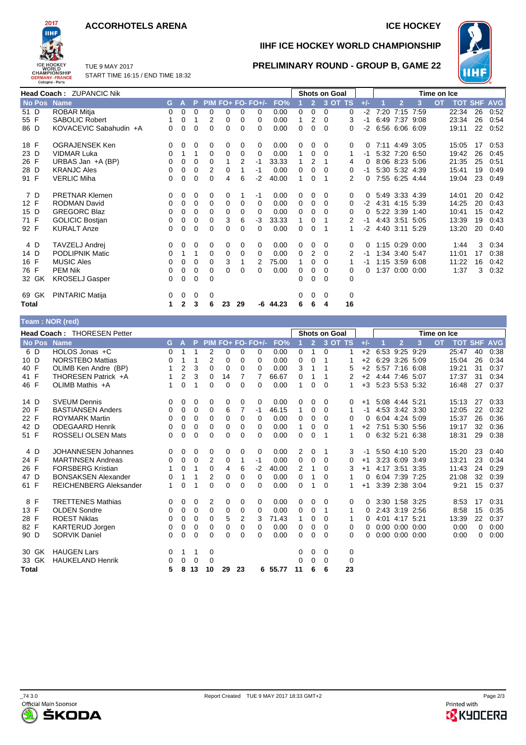## **ACCORHOTELS ARENA ICE HOCKEY**



**IIHF ICE HOCKEY WORLD CHAMPIONSHIP**

**PRELIMINARY ROUND - GROUP B, GAME 22**



TUE 9 MAY 2017 START TIME 16:15 / END TIME 18:32

|                 | <b>Head Coach: ZUPANCIC Nik</b> |    |              |          |          |          |          |                   |            |   |                | <b>Shots on Goal</b> |         |       | Time on Ice |                |                |           |                |    |            |
|-----------------|---------------------------------|----|--------------|----------|----------|----------|----------|-------------------|------------|---|----------------|----------------------|---------|-------|-------------|----------------|----------------|-----------|----------------|----|------------|
| No Pos Name     |                                 | G. | A            | P        |          |          |          | PIM FO+ FO- FO+/- | FO%        |   | $\overline{2}$ |                      | 3 OT TS | $+/-$ |             | $\overline{2}$ | 3              | <b>OT</b> | <b>TOT SHF</b> |    | <b>AVG</b> |
| 51 D            | <b>ROBAR Mitja</b>              | 0  | 0            | $\Omega$ | 0        | 0        | $\Omega$ | 0                 | 0.00       | 0 | 0              | 0                    | 0       | $-2$  | 7:20        | 7:15           | 7:59           |           | 22:34          | 26 | 0:52       |
| 55 F            | <b>SABOLIC Robert</b>           |    | 0            |          | 2        | 0        | 0        | 0                 | 0.00       | 1 | 2              | $\Omega$             | 3       | -1    |             | 6:49 7:37 9:08 |                |           | 23:34          | 26 | 0:54       |
| 86 D            | KOVACEVIC Sabahudin +A          | 0  | 0            | $\Omega$ | $\Omega$ | $\Omega$ | 0        | 0                 | 0.00       | 0 | 0              | 0                    | 0       | -2    |             | 6:56 6:06 6:09 |                |           | 19:11          | 22 | 0:52       |
| 18 F            | OGRAJENSEK Ken                  | 0  | 0            | 0        | 0        | 0        | 0        | 0                 | 0.00       | 0 | 0              | $\Omega$             | 0       |       |             | 7:11 4:49 3:05 |                |           | 15:05          | 17 | 0:53       |
| 23 D            | <b>VIDMAR Luka</b>              | 0  |              | 1        | 0        | 0        | 0        | 0                 | 0.00       | 1 | 0              | 0                    |         | -1    |             | 5:32 7:20 6:50 |                |           | 19:42          | 26 | 0:45       |
| 26 F            | URBAS Jan +A (BP)               | 0  | 0            | 0        | 0        | 1        | 2        | $-1$              | 33.33      |   | 2              |                      | 4       |       |             |                | 8:06 8:23 5:06 |           | 21:35          | 25 | 0:51       |
| 28 D            | <b>KRANJC Ales</b>              | 0  | 0            | $\Omega$ | 2        | 0        |          | $-1$              | 0.00       | 0 | 0              | 0                    | 0       | -1    |             | 5:30 5:32 4:39 |                |           | 15:41          | 19 | 0:49       |
| 91 F            | <b>VERLIC Miha</b>              | 0  | 0            | $\Omega$ | $\Omega$ | 4        | 6        | $-2$              | 40.00      | 1 | 0              |                      | 2       |       |             |                | 7:55 6:25 4:44 |           | 19:04          | 23 | 0:49       |
| 7 D             | <b>PRETNAR Klemen</b>           | 0  | 0            | 0        | 0        | 0        | 1        | -1                | 0.00       | 0 | 0              | $\Omega$             | 0       | 0     |             | 5:49 3:33 4:39 |                |           | 14:01          | 20 | 0:42       |
| 12 F            | <b>RODMAN David</b>             | 0  | 0            | 0        | 0        | 0        | 0        | 0                 | 0.00       | 0 | 0              | 0                    | 0       | $-2$  |             | 4:31 4:15 5:39 |                |           | 14:25          | 20 | 0:43       |
| 15 D            | <b>GREGORC Blaz</b>             | 0  | 0            | 0        | 0        | 0        | 0        | 0                 | 0.00       | 0 | 0              | 0                    | 0       |       |             |                | 5:22 3:39 1:40 |           | 10:41          | 15 | 0:42       |
| 71 F            | <b>GOLICIC Bostjan</b>          | 0  | 0            | 0        | 0        | 3        | 6        | -3                | 33.33      | 1 | 0              |                      | 2       | -1    |             | 4:43 3:51 5:05 |                |           | 13:39          | 19 | 0:43       |
| 92 F            | <b>KURALT Anze</b>              | 0  | 0            | 0        | $\Omega$ | 0        | 0        | 0                 | 0.00       | 0 | 0              |                      | 1       | -2    |             | 4:40 3:11 5:29 |                |           | 13:20          | 20 | 0:40       |
| 4 D             | TAVZELJ Andrej                  | 0  | 0            | 0        | 0        | 0        | 0        | 0                 | 0.00       | 0 | 0              | $\Omega$             | 0       |       |             | 1:15 0:29 0:00 |                |           | 1:44           | 3  | 0:34       |
| 14 D            | <b>PODLIPNIK Matic</b>          | 0  |              | 1        | 0        | 0        | 0        | $\Omega$          | 0.00       | 0 | 2              | $\Omega$             | 2       | -1    |             | 1:34 3:40 5:47 |                |           | 11:01          | 17 | 0:38       |
| 16 F            | <b>MUSIC Ales</b>               | 0  | 0            | $\Omega$ | 0        | 3        |          | 2                 | 75.00      | 1 | 0              | 0                    |         | -1    |             |                | 1:15 3:59 6:08 |           | 11:22          | 16 | 0:42       |
| 76 F            | <b>PEM Nik</b>                  | 0  | 0            | 0        | 0        | $\Omega$ | 0        | 0                 | 0.00       | 0 | 0              | 0                    | 0       |       |             |                | 1:37 0:00 0:00 |           | 1:37           | 3  | 0:32       |
| 32 GK           | <b>KROSELJ Gasper</b>           | 0  | 0            | $\Omega$ | $\Omega$ |          |          |                   |            | 0 | 0              | 0                    | 0       |       |             |                |                |           |                |    |            |
| 69 GK           | <b>PINTARIC Matija</b>          | 0  | 0            | 0        | 0        |          |          |                   |            | 0 | 0              | 0                    | 0       |       |             |                |                |           |                |    |            |
| Total           |                                 | 1  | $\mathbf{2}$ | 3        | 6        | 23       | 29       |                   | $-6$ 44.23 | 6 | 6              | 4                    | 16      |       |             |                |                |           |                |    |            |
| Team: NOR (red) |                                 |    |              |          |          |          |          |                   |            |   |                |                      |         |       |             |                |                |           |                |    |            |

|             | <b>Head Coach: THORESEN Petter</b> |          |                |          |          |    |          |                   |       |          |                | <b>Shots on Goal</b> |          |          |                      |   | Time on Ice |       |    |                    |
|-------------|------------------------------------|----------|----------------|----------|----------|----|----------|-------------------|-------|----------|----------------|----------------------|----------|----------|----------------------|---|-------------|-------|----|--------------------|
| No Pos Name |                                    | G.       | $\mathbf{A}$   | P        |          |    |          | PIM FO+ FO- FO+/- | FO%   |          | 2 <sup>1</sup> |                      | 3 OT TS  | $+/-$    | $\overline{2}$       | 3 | <b>OT</b>   |       |    | <b>TOT SHF AVG</b> |
| 6 D         | HOLOS Jonas +C                     | 0        | 1              |          | 2        | 0  | 0        | 0                 | 0.00  | 0        | 1              | 0                    |          | $+2$     | 6:53 9:25 9:29       |   |             | 25:47 | 40 | 0:38               |
| 10 D        | <b>NORSTEBO Mattias</b>            | 0        | 1              |          | 2        | 0  | $\Omega$ | 0                 | 0.00  | 0        | 0              |                      |          | $+2$     | 6:29 3:26 5:09       |   |             | 15:04 | 26 | 0:34               |
| 40 F        | OLIMB Ken Andre (BP)               |          | $\overline{2}$ | 3        | 0        | 0  | $\Omega$ | $\Omega$          | 0.00  | 3        | 1              | 1                    | 5        | $+2$     | 5:57 7:16 6:08       |   |             | 19:21 | 31 | 0:37               |
| 41 F        | THORESEN Patrick +A                |          | $\overline{2}$ | 3        | 0        | 14 | 7        | 7                 | 66.67 | 0        |                |                      | 2        | $+2$     | 4:44 7:46 5:07       |   |             | 17:37 | 31 | 0:34               |
| 46 F        | OLIMB Mathis +A                    | 1        | 0              | 1        | 0        | 0  | $\Omega$ | $\Omega$          | 0.00  | 1        | 0              | $\Omega$             |          | $+3$     | 5:23 5:53 5:32       |   |             | 16:48 | 27 | 0:37               |
| 14 D        | <b>SVEUM Dennis</b>                | 0        | 0              | 0        | 0        | 0  | 0        | 0                 | 0.00  | 0        | 0              | 0                    | 0        | $+1$     | 5:08 4:44 5:21       |   |             | 15:13 | 27 | 0:33               |
| 20 F        | <b>BASTIANSEN Anders</b>           | 0        | 0              | 0        | 0        | 6  | 7        | -1                | 46.15 | 1        | 0              | 0                    | 1        | -1       | 4:53 3:42 3:30       |   |             | 12:05 | 22 | 0:32               |
| 22 F        | <b>ROYMARK Martin</b>              | 0        | 0              | 0        | 0        | 0  | $\Omega$ | $\Omega$          | 0.00  | 0        | 0              | $\Omega$             | 0        | 0        | 6:04 4:24 5:09       |   |             | 15:37 | 26 | 0:36               |
| 42 D        | <b>ODEGAARD Henrik</b>             | 0        | 0              | 0        | 0        | 0  | 0        | 0                 | 0.00  | 1        | 0              | 0                    |          | $+2$     | 7:51 5:30 5:56       |   |             | 19:17 | 32 | 0:36               |
| 51 F        | <b>ROSSELI OLSEN Mats</b>          | 0        | $\Omega$       | 0        | 0        | 0  | 0        | 0                 | 0.00  | 0        | $\Omega$       |                      | 1.       | 0        | 6:32 5:21 6:38       |   |             | 18:31 | 29 | 0:38               |
| 4 D         | <b>JOHANNESEN Johannes</b>         | 0        | 0              | 0        | 0        | 0  | 0        | 0                 | 0.00  | 2        | 0              | 1                    | 3        | -1       | 5:50 4:10 5:20       |   |             | 15:20 | 23 | 0:40               |
| 24 F        | <b>MARTINSEN Andreas</b>           | 0        | $\Omega$       | $\Omega$ | 2        | 0  | 1        | -1                | 0.00  | $\Omega$ | $\Omega$       | $\Omega$             | $\Omega$ | $+1$     | 3:23 6:09 3:49       |   |             | 13:21 | 23 | 0:34               |
| 26 F        | <b>FORSBERG Kristian</b>           |          | $\Omega$       |          | $\Omega$ | 4  | 6        | $-2$              | 40.00 | 2        | 1              | 0                    | 3        | $+1$     | 4:17 3:51 3:35       |   |             | 11:43 | 24 | 0:29               |
| 47 D        | <b>BONSAKSEN Alexander</b>         | $\Omega$ | 1              |          | 2        | 0  | $\Omega$ | $\Omega$          | 0.00  | $\Omega$ | 1              | 0                    |          | $\Omega$ | 6:04 7:39 7:25       |   |             | 21:08 | 32 | 0:39               |
| 61 F        | <b>REICHENBERG Aleksander</b>      | 1        | 0              |          | $\Omega$ | 0  | 0        | 0                 | 0.00  | $\Omega$ |                | 0                    |          | $+1$     | 3:39 2:38 3:04       |   |             | 9:21  | 15 | 0:37               |
| 8 F         | <b>TRETTENES Mathias</b>           | 0        | 0              | 0        | 2        | 0  | 0        | 0                 | 0.00  | 0        | 0              | $\Omega$             | 0        | 0        | 3:30 1:58 3:25       |   |             | 8:53  | 17 | 0:31               |
| 13 F        | <b>OLDEN Sondre</b>                | 0        | 0              | 0        | 0        | 0  | 0        | $\Omega$          | 0.00  | 0        | 0              | 1                    | 1        | $\Omega$ | 2:43 3:19 2:56       |   |             | 8:58  | 15 | 0:35               |
| 28 F        | <b>ROEST Niklas</b>                | 0        | 0              | 0        | 0        | 5  | 2        | 3                 | 71.43 | 1        | 0              | $\Omega$             |          | 0        | 4:01 4:17 5:21       |   |             | 13:39 | 22 | 0:37               |
| 82 F        | <b>KARTERUD Jorgen</b>             | 0        | 0              | $\Omega$ | $\Omega$ | 0  | $\Omega$ | $\Omega$          | 0.00  | 0        | 0              | $\Omega$             | 0        | $\Omega$ | $0:00$ $0:00$ $0:00$ |   |             | 0:00  | 0  | 0:00               |
| 90 D        | <b>SORVIK Daniel</b>               | $\Omega$ | 0              | 0        | 0        | 0  | $\Omega$ | 0                 | 0.00  | $\Omega$ | 0              | $\Omega$             | 0        | 0        | $0:00$ $0:00$ $0:00$ |   |             | 0:00  | 0  | 0:00               |
| 30 GK       | <b>HAUGEN Lars</b>                 | 0        | 1              | 1        | 0        |    |          |                   |       | 0        | 0              | $\Omega$             | 0        |          |                      |   |             |       |    |                    |
| 33 GK       | <b>HAUKELAND Henrik</b>            | 0        | 0              | $\Omega$ | 0        |    |          |                   |       | 0        | 0              | $\Omega$             | 0        |          |                      |   |             |       |    |                    |
| Total       |                                    | 5        | 8              | 13       | 10       | 29 | 23       | 6.                | 55.77 | 11       | 6              | 6                    | 23       |          |                      |   |             |       |    |                    |